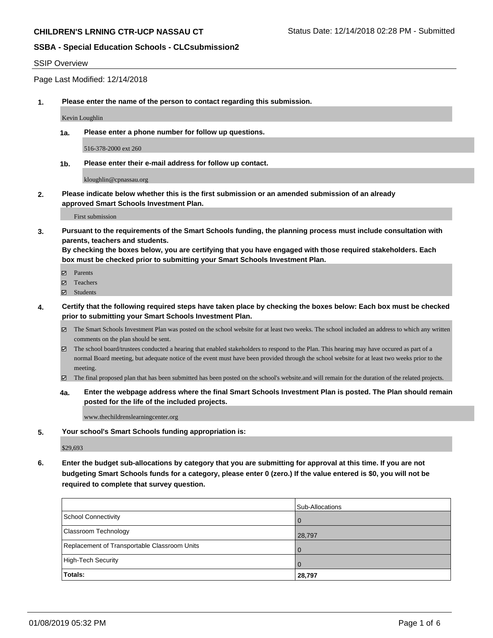#### SSIP Overview

Page Last Modified: 12/14/2018

**1. Please enter the name of the person to contact regarding this submission.**

Kevin Loughlin

**1a. Please enter a phone number for follow up questions.**

516-378-2000 ext 260

**1b. Please enter their e-mail address for follow up contact.**

kloughlin@cpnassau.org

**2. Please indicate below whether this is the first submission or an amended submission of an already approved Smart Schools Investment Plan.**

First submission

**3. Pursuant to the requirements of the Smart Schools funding, the planning process must include consultation with parents, teachers and students.**

**By checking the boxes below, you are certifying that you have engaged with those required stakeholders. Each box must be checked prior to submitting your Smart Schools Investment Plan.**

- $\blacksquare$  Parents
- Teachers
- Students
- **4. Certify that the following required steps have taken place by checking the boxes below: Each box must be checked prior to submitting your Smart Schools Investment Plan.**
	- $\boxtimes$  The Smart Schools Investment Plan was posted on the school website for at least two weeks. The school included an address to which any written comments on the plan should be sent.
	- $\boxtimes$  The school board/trustees conducted a hearing that enabled stakeholders to respond to the Plan. This hearing may have occured as part of a normal Board meeting, but adequate notice of the event must have been provided through the school website for at least two weeks prior to the meeting.
	- The final proposed plan that has been submitted has been posted on the school's website.and will remain for the duration of the related projects.
	- **4a. Enter the webpage address where the final Smart Schools Investment Plan is posted. The Plan should remain posted for the life of the included projects.**

www.thechildrenslearningcenter.org

**5. Your school's Smart Schools funding appropriation is:**

\$29,693

**6. Enter the budget sub-allocations by category that you are submitting for approval at this time. If you are not budgeting Smart Schools funds for a category, please enter 0 (zero.) If the value entered is \$0, you will not be required to complete that survey question.**

|                                              | Sub-Allocations |
|----------------------------------------------|-----------------|
| School Connectivity                          | l O             |
| Classroom Technology                         | 28,797          |
| Replacement of Transportable Classroom Units | <b>O</b>        |
| High-Tech Security                           | $\Omega$        |
| <b>Totals:</b>                               | 28,797          |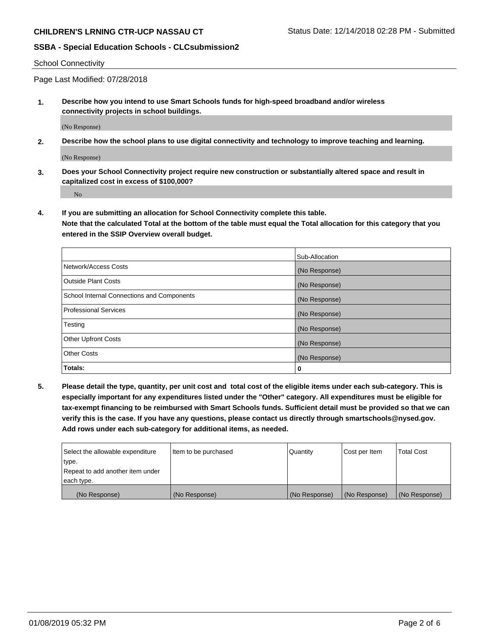School Connectivity

Page Last Modified: 07/28/2018

**1. Describe how you intend to use Smart Schools funds for high-speed broadband and/or wireless connectivity projects in school buildings.**

(No Response)

**2. Describe how the school plans to use digital connectivity and technology to improve teaching and learning.**

(No Response)

**3. Does your School Connectivity project require new construction or substantially altered space and result in capitalized cost in excess of \$100,000?**

No

**4. If you are submitting an allocation for School Connectivity complete this table.**

**Note that the calculated Total at the bottom of the table must equal the Total allocation for this category that you entered in the SSIP Overview overall budget.** 

|                                            | Sub-Allocation |
|--------------------------------------------|----------------|
| Network/Access Costs                       | (No Response)  |
| <b>Outside Plant Costs</b>                 | (No Response)  |
| School Internal Connections and Components | (No Response)  |
| <b>Professional Services</b>               | (No Response)  |
| Testing                                    | (No Response)  |
| <b>Other Upfront Costs</b>                 | (No Response)  |
| <b>Other Costs</b>                         | (No Response)  |
| Totals:                                    | 0              |

**5. Please detail the type, quantity, per unit cost and total cost of the eligible items under each sub-category. This is especially important for any expenditures listed under the "Other" category. All expenditures must be eligible for tax-exempt financing to be reimbursed with Smart Schools funds. Sufficient detail must be provided so that we can verify this is the case. If you have any questions, please contact us directly through smartschools@nysed.gov. Add rows under each sub-category for additional items, as needed.**

| Select the allowable expenditure | Item to be purchased | Quantity      | Cost per Item | <b>Total Cost</b> |
|----------------------------------|----------------------|---------------|---------------|-------------------|
| type.                            |                      |               |               |                   |
| Repeat to add another item under |                      |               |               |                   |
| each type.                       |                      |               |               |                   |
| (No Response)                    | (No Response)        | (No Response) | (No Response) | (No Response)     |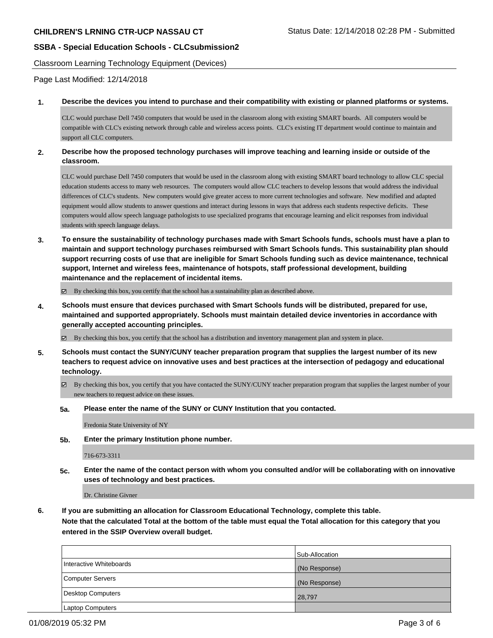Classroom Learning Technology Equipment (Devices)

Page Last Modified: 12/14/2018

#### **1. Describe the devices you intend to purchase and their compatibility with existing or planned platforms or systems.**

CLC would purchase Dell 7450 computers that would be used in the classroom along with existing SMART boards. All computers would be compatible with CLC's existing network through cable and wireless access points. CLC's existing IT department would continue to maintain and support all CLC computers.

### **2. Describe how the proposed technology purchases will improve teaching and learning inside or outside of the classroom.**

CLC would purchase Dell 7450 computers that would be used in the classroom along with existing SMART board technology to allow CLC special education students access to many web resources. The computers would allow CLC teachers to develop lessons that would address the individual differences of CLC's students. New computers would give greater access to more current technologies and software. New modified and adapted equipment would allow students to answer questions and interact during lessons in ways that address each students respective deficits. These computers would allow speech language pathologists to use specialized programs that encourage learning and elicit responses from individual students with speech language delays.

**3. To ensure the sustainability of technology purchases made with Smart Schools funds, schools must have a plan to maintain and support technology purchases reimbursed with Smart Schools funds. This sustainability plan should support recurring costs of use that are ineligible for Smart Schools funding such as device maintenance, technical support, Internet and wireless fees, maintenance of hotspots, staff professional development, building maintenance and the replacement of incidental items.**

 $\boxtimes$  By checking this box, you certify that the school has a sustainability plan as described above.

**4. Schools must ensure that devices purchased with Smart Schools funds will be distributed, prepared for use, maintained and supported appropriately. Schools must maintain detailed device inventories in accordance with generally accepted accounting principles.**

 $\boxtimes$  By checking this box, you certify that the school has a distribution and inventory management plan and system in place.

- **5. Schools must contact the SUNY/CUNY teacher preparation program that supplies the largest number of its new teachers to request advice on innovative uses and best practices at the intersection of pedagogy and educational technology.**
	- By checking this box, you certify that you have contacted the SUNY/CUNY teacher preparation program that supplies the largest number of your new teachers to request advice on these issues.
	- **5a. Please enter the name of the SUNY or CUNY Institution that you contacted.**

Fredonia State University of NY

**5b. Enter the primary Institution phone number.**

716-673-3311

**5c. Enter the name of the contact person with whom you consulted and/or will be collaborating with on innovative uses of technology and best practices.**

Dr. Christine Givner

**6. If you are submitting an allocation for Classroom Educational Technology, complete this table. Note that the calculated Total at the bottom of the table must equal the Total allocation for this category that you entered in the SSIP Overview overall budget.**

|                         | Sub-Allocation |
|-------------------------|----------------|
| Interactive Whiteboards | (No Response)  |
| Computer Servers        | (No Response)  |
| Desktop Computers       | 28,797         |
| Laptop Computers        |                |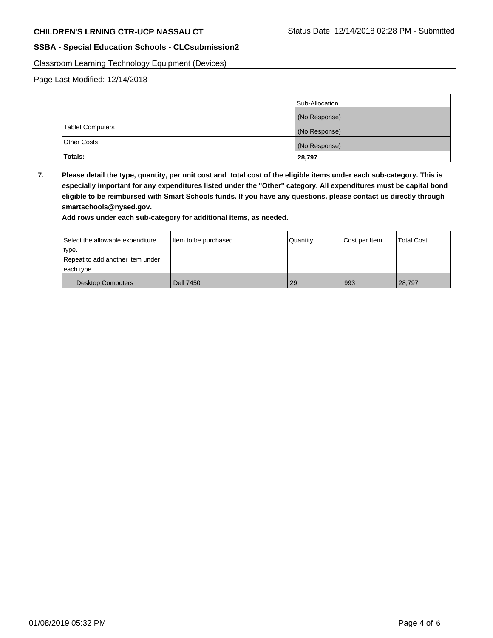Classroom Learning Technology Equipment (Devices)

Page Last Modified: 12/14/2018

|                    | Sub-Allocation |
|--------------------|----------------|
|                    | (No Response)  |
| Tablet Computers   | (No Response)  |
| <b>Other Costs</b> | (No Response)  |
| Totals:            | 28,797         |

**7. Please detail the type, quantity, per unit cost and total cost of the eligible items under each sub-category. This is especially important for any expenditures listed under the "Other" category. All expenditures must be capital bond eligible to be reimbursed with Smart Schools funds. If you have any questions, please contact us directly through smartschools@nysed.gov.**

**Add rows under each sub-category for additional items, as needed.**

| Select the allowable expenditure | Item to be purchased | Quantity | Cost per Item | <b>Total Cost</b> |
|----------------------------------|----------------------|----------|---------------|-------------------|
| 'type.                           |                      |          |               |                   |
| Repeat to add another item under |                      |          |               |                   |
| each type.                       |                      |          |               |                   |
| <b>Desktop Computers</b>         | <b>Dell 7450</b>     | 29       | 993           | 28,797            |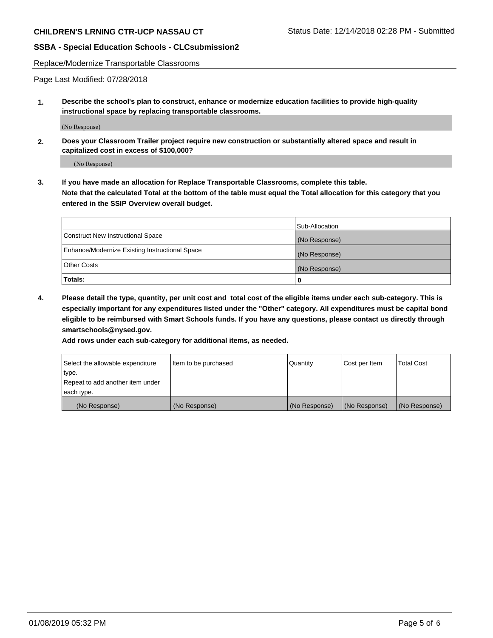Replace/Modernize Transportable Classrooms

Page Last Modified: 07/28/2018

**1. Describe the school's plan to construct, enhance or modernize education facilities to provide high-quality instructional space by replacing transportable classrooms.**

(No Response)

**2. Does your Classroom Trailer project require new construction or substantially altered space and result in capitalized cost in excess of \$100,000?**

(No Response)

**3. If you have made an allocation for Replace Transportable Classrooms, complete this table. Note that the calculated Total at the bottom of the table must equal the Total allocation for this category that you entered in the SSIP Overview overall budget.**

|                                                | Sub-Allocation |
|------------------------------------------------|----------------|
| Construct New Instructional Space              | (No Response)  |
| Enhance/Modernize Existing Instructional Space | (No Response)  |
| Other Costs                                    | (No Response)  |
| Totals:                                        | 0              |

**4. Please detail the type, quantity, per unit cost and total cost of the eligible items under each sub-category. This is especially important for any expenditures listed under the "Other" category. All expenditures must be capital bond eligible to be reimbursed with Smart Schools funds. If you have any questions, please contact us directly through smartschools@nysed.gov.**

**Add rows under each sub-category for additional items, as needed.**

| Select the allowable expenditure | Item to be purchased | Quantity      | Cost per Item | Total Cost    |
|----------------------------------|----------------------|---------------|---------------|---------------|
| type.                            |                      |               |               |               |
| Repeat to add another item under |                      |               |               |               |
| each type.                       |                      |               |               |               |
| (No Response)                    | (No Response)        | (No Response) | (No Response) | (No Response) |